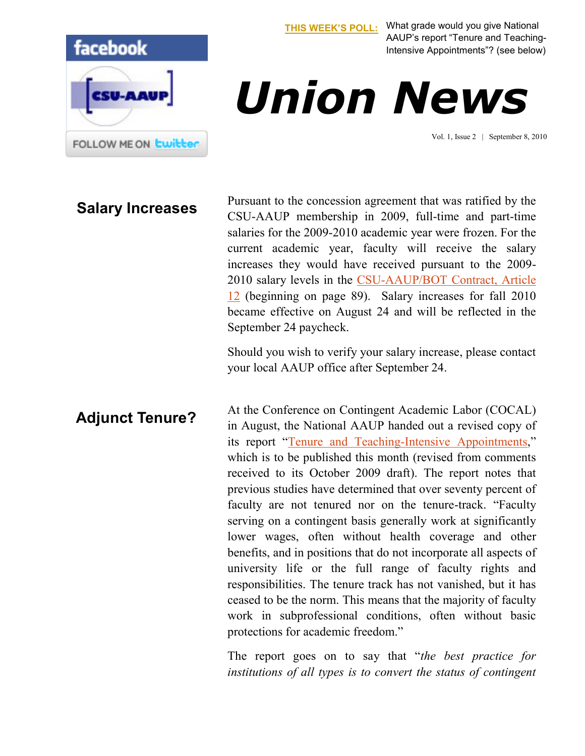

**[THIS WEEK'S POLL:](http://www.csuaaup.org/)** What grade would you give National AAUP's report "Tenure and Teaching-Intensive Appointments"? (see below)

## *Union News*

Vol. 1, Issue 2 | September 8, 2010

**Salary Increases** Pursuant to the concession agreement that was ratified by the **Salary Increases** CSU-AAUP membership in 2009, full-time and part-time salaries for the 2009-2010 academic year were frozen. For the current academic year, faculty will receive the salary increases they would have received pursuant to the 2009- 2010 salary levels in the [CSU-AAUP/BOT Contract, Article](http://www.csuaaup.org/wp-content/uploads/2010/07/AAUP2007-2011FINALContract200711.pdf)  [12](http://www.csuaaup.org/wp-content/uploads/2010/07/AAUP2007-2011FINALContract200711.pdf) (beginning on page 89). Salary increases for fall 2010 became effective on August 24 and will be reflected in the September 24 paycheck.

> Should you wish to verify your salary increase, please contact your local AAUP office after September 24.

At the Conference on Contingent Academic Labor (COCAL) in August, the National AAUP handed out a revised copy of its report "[Tenure and Teaching-Intensive Appointments](http://www.aaup.org/AAUP/comm/rep/conversion.htm)," which is to be published this month (revised from comments received to its October 2009 draft). The report notes that previous studies have determined that over seventy percent of faculty are not tenured nor on the tenure-track. "Faculty serving on a contingent basis generally work at significantly lower wages, often without health coverage and other benefits, and in positions that do not incorporate all aspects of university life or the full range of faculty rights and responsibilities. The tenure track has not vanished, but it has ceased to be the norm. This means that the majority of faculty work in subprofessional conditions, often without basic protections for academic freedom." **Adjunct Tenure?**

> The report goes on to say that "*the best practice for institutions of all types is to convert the status of contingent*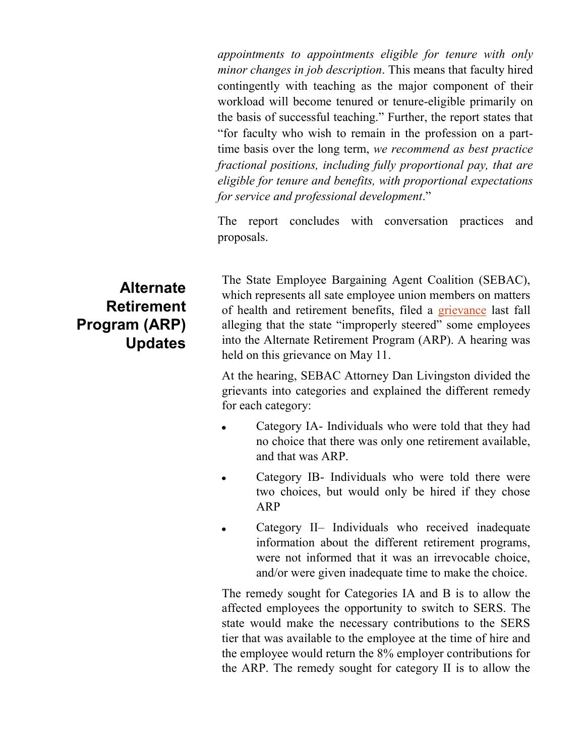*appointments to appointments eligible for tenure with only minor changes in job description*. This means that faculty hired contingently with teaching as the major component of their workload will become tenured or tenure-eligible primarily on the basis of successful teaching." Further, the report states that "for faculty who wish to remain in the profession on a parttime basis over the long term, *we recommend as best practice fractional positions, including fully proportional pay, that are eligible for tenure and benefits, with proportional expectations for service and professional development*."

The report concludes with conversation practices and proposals.

The State Employee Bargaining Agent Coalition (SEBAC), which represents all sate employee union members on matters of health and retirement benefits, filed a [grievance](http://www.csuaaup.org/wp-content/uploads/2010/07/ARPgrievance.pdf) last fall alleging that the state "improperly steered" some employees into the Alternate Retirement Program (ARP). A hearing was held on this grievance on May 11.

At the hearing, SEBAC Attorney Dan Livingston divided the grievants into categories and explained the different remedy for each category:

- Category IA- Individuals who were told that they had no choice that there was only one retirement available, and that was ARP.
- Category IB- Individuals who were told there were  $\bullet$ two choices, but would only be hired if they chose ARP
- Category II– Individuals who received inadequate information about the different retirement programs, were not informed that it was an irrevocable choice, and/or were given inadequate time to make the choice.

The remedy sought for Categories IA and B is to allow the affected employees the opportunity to switch to SERS. The state would make the necessary contributions to the SERS tier that was available to the employee at the time of hire and the employee would return the 8% employer contributions for the ARP. The remedy sought for category II is to allow the

## **Alternate Retirement Program (ARP) Updates**